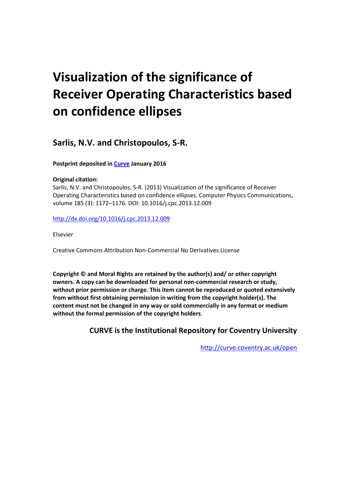# **Visualization of the significance of Receiver Operating Characteristics based on confidence ellipses**

**Sarlis, N.V. and Christopoulos, S-R.** 

**Postprint deposited in [Curve](http://curve.coventry.ac.uk/open) January 2016**

# **Original citation:**

Sarlis, N.V. and Christopoulos, S-R. (2013) Visualization of the significance of Receiver Operating Characteristics based on confidence ellipses. Computer Physics Communications, volume 185 (3): 1172–1176. DOI: 10.1016/j.cpc.2013.12.009

<http://dx.doi.org/10.1016/j.cpc.2013.12.009>

Elsevier

Creative Commons Attribution Non-Commercial No Derivatives License

**Copyright © and Moral Rights are retained by the author(s) and/ or other copyright owners. A copy can be downloaded for personal non-commercial research or study, without prior permission or charge. This item cannot be reproduced or quoted extensively from without first obtaining permission in writing from the copyright holder(s). The content must not be changed in any way or sold commercially in any format or medium without the formal permission of the copyright holders**.

**CURVE is the Institutional Repository for Coventry University**

<http://curve.coventry.ac.uk/open>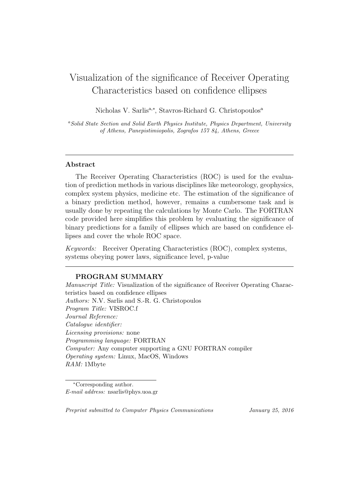# Visualization of the significance of Receiver Operating Characteristics based on confidence ellipses

Nicholas V. Sarlis<sup>a,∗</sup>, Stavros-Richard G. Christopoulos<sup>a</sup>

*<sup>a</sup>Solid State Section and Solid Earth Physics Institute, Physics Department, University of Athens, Panepistimiopolis, Zografos 157 84, Athens, Greece*

#### **Abstract**

The Receiver Operating Characteristics (ROC) is used for the evaluation of prediction methods in various disciplines like meteorology, geophysics, complex system physics, medicine etc. The estimation of the significance of a binary prediction method, however, remains a cumbersome task and is usually done by repeating the calculations by Monte Carlo. The FORTRAN code provided here simplifies this problem by evaluating the significance of binary predictions for a family of ellipses which are based on confidence ellipses and cover the whole ROC space.

*Keywords:* Receiver Operating Characteristics (ROC), complex systems, systems obeying power laws, significance level, p-value

## **PROGRAM SUMMARY**

*Manuscript Title:* Visualization of the significance of Receiver Operating Characteristics based on confidence ellipses *Authors:* N.V. Sarlis and S.-R. G. Christopoulos *Program Title:* VISROC.f *Journal Reference: Catalogue identifier: Licensing provisions:* none *Programming language:* FORTRAN *Computer:* Any computer supporting a GNU FORTRAN compiler *Operating system:* Linux, MacOS, Windows *RAM:* 1Mbyte

*Preprint submitted to Computer Physics Communications January 25, 2016*

*<sup>∗</sup>*Corresponding author. *E-mail address:* nsarlis@phys.uoa.gr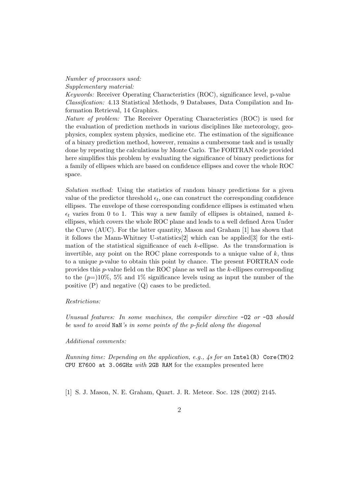#### *Number of processors used:*

*Supplementary material:*

*Keywords:* Receiver Operating Characteristics (ROC), significance level, p-value *Classification:* 4.13 Statistical Methods, 9 Databases, Data Compilation and Information Retrieval, 14 Graphics.

*Nature of problem:* The Receiver Operating Characteristics (ROC) is used for the evaluation of prediction methods in various disciplines like meteorology, geophysics, complex system physics, medicine etc. The estimation of the significance of a binary prediction method, however, remains a cumbersome task and is usually done by repeating the calculations by Monte Carlo. The FORTRAN code provided here simplifies this problem by evaluating the significance of binary predictions for a family of ellipses which are based on confidence ellipses and cover the whole ROC space.

*Solution method:* Using the statistics of random binary predictions for a given value of the predictor threshold  $\epsilon_t$ , one can construct the corresponding confidence ellipses. The envelope of these corresponding confidence ellipses is estimated when  $\epsilon_t$  varies from 0 to 1. This way a new family of ellipses is obtained, named  $k$ ellipses, which covers the whole ROC plane and leads to a well defined Area Under the Curve (AUC). For the latter quantity, Mason and Graham [1] has shown that it follows the Mann-Whitney U-statistics[2] which can be applied[3] for the estimation of the statistical significance of each *k*-ellipse. As the transformation is invertible, any point on the ROC plane corresponds to a unique value of *k*, thus to a unique *p*-value to obtain this point by chance. The present FORTRAN code provides this *p*-value field on the ROC plane as well as the *k*-ellipses corresponding to the (*p*=)10%, 5% and 1% significance levels using as input the number of the positive (P) and negative (Q) cases to be predicted.

#### *Restrictions:*

*Unusual features: In some machines, the compiler directive* -O2 *or* -O3 *should be used to avoid* NaN*'s in some points of the p-field along the diagonal*

#### *Additional comments:*

*Running time: Depending on the application, e.g., 4s for an* Intel(R) Core(TM)2 CPU E7600 at 3.06GHz *with* 2GB RAM for the examples presented here

[1] S. J. Mason, N. E. Graham, Quart. J. R. Meteor. Soc. 128 (2002) 2145.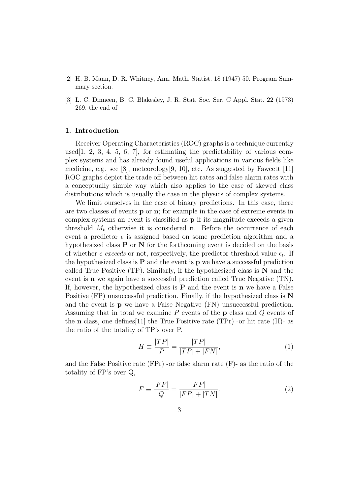- [2] H. B. Mann, D. R. Whitney, Ann. Math. Statist. 18 (1947) 50. Program Summary section.
- [3] L. C. Dinneen, B. C. Blakesley, J. R. Stat. Soc. Ser. C Appl. Stat. 22 (1973) 269. the end of

### **1. Introduction**

Receiver Operating Characteristics (ROC) graphs is a technique currently used [1, 2, 3, 4, 5, 6, 7], for estimating the predictability of various complex systems and has already found useful applications in various fields like medicine, e.g. see [8], meteorology[9, 10], etc. As suggested by Fawcett  $[11]$ ROC graphs depict the trade off between hit rates and false alarm rates with a conceptually simple way which also applies to the case of skewed class distributions which is usually the case in the physics of complex systems.

We limit ourselves in the case of binary predictions. In this case, there are two classes of events **p** or **n**; for example in the case of extreme events in complex systems an event is classified as **p** if its magnitude exceeds a given threshold  $M_t$  otherwise it is considered **n**. Before the occurrence of each event a predictor  $\epsilon$  is assigned based on some prediction algorithm and a hypothesized class **P** or **N** for the forthcoming event is decided on the basis of whether  $\epsilon$  *exceeds* or not, respectively, the predictor threshold value  $\epsilon_t$ . If the hypothesized class is  $P$  and the event is  $p$  we have a successful prediction called True Positive (TP). Similarly, if the hypothesized class is **N** and the event is **n** we again have a successful prediction called True Negative (TN). If, however, the hypothesized class is **P** and the event is **n** we have a False Positive (FP) unsuccessful prediction. Finally, if the hypothesized class is **N** and the event is **p** we have a False Negative (FN) unsuccessful prediction. Assuming that in total we examine *P* events of the **p** class and *Q* events of the **n** class, one defines[11] the True Positive rate (TPr) -or hit rate (H)- as the ratio of the totality of TP's over P,

$$
H \equiv \frac{|TP|}{P} = \frac{|TP|}{|TP| + |FN|},\tag{1}
$$

and the False Positive rate (FPr) -or false alarm rate (F)- as the ratio of the totality of FP's over Q,

$$
F \equiv \frac{|FP|}{Q} = \frac{|FP|}{|FP| + |TN|}. \tag{2}
$$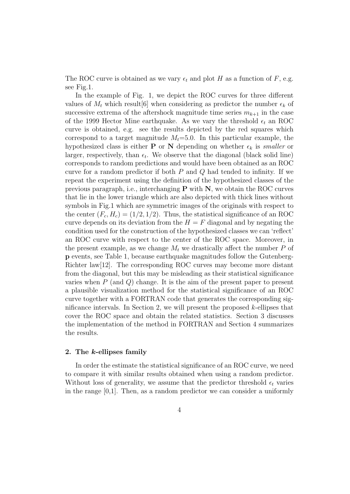The ROC curve is obtained as we vary  $\epsilon_t$  and plot H as a function of F, e.g. see Fig.1.

In the example of Fig. 1, we depict the ROC curves for three different values of  $M_t$  which result [6] when considering as predictor the number  $\epsilon_k$  of successive extrema of the aftershock magnitude time series  $m_{k+1}$  in the case of the 1999 Hector Mine earthquake. As we vary the threshold  $\epsilon_t$  an ROC curve is obtained, e.g. see the results depicted by the red squares which correspond to a target magnitude  $M_t = 5.0$ . In this particular example, the hypothesized class is either **P** or **N** depending on whether  $\epsilon_k$  is *smaller* or larger, respectively, than  $\epsilon_t$ . We observe that the diagonal (black solid line) corresponds to random predictions and would have been obtained as an ROC curve for a random predictor if both *P* and *Q* had tended to infinity. If we repeat the experiment using the definition of the hypothesized classes of the previous paragraph, i.e., interchanging **P** with **N**, we obtain the ROC curves that lie in the lower triangle which are also depicted with thick lines without symbols in Fig.1 which are symmetric images of the originals with respect to the center  $(F_c, H_c) = (1/2, 1/2)$ . Thus, the statistical significance of an ROC curve depends on its deviation from the  $H = F$  diagonal and by negating the condition used for the construction of the hypothesized classes we can 'reflect' an ROC curve with respect to the center of the ROC space. Moreover, in the present example, as we change  $M_t$  we drastically affect the number  $P$  of **p** events, see Table 1, because earthquake magnitudes follow the Gutenberg-Richter law[12]. The corresponding ROC curves may become more distant from the diagonal, but this may be misleading as their statistical significance varies when *P* (and *Q*) change. It is the aim of the present paper to present a plausible visualization method for the statistical significance of an ROC curve together with a FORTRAN code that generates the corresponding significance intervals. In Section 2, we will present the proposed *k*-ellipses that cover the ROC space and obtain the related statistics. Section 3 discusses the implementation of the method in FORTRAN and Section 4 summarizes the results.

#### **2. The** *k***-ellipses family**

In order the estimate the statistical significance of an ROC curve, we need to compare it with similar results obtained when using a random predictor. Without loss of generality, we assume that the predictor threshold  $\epsilon_t$  varies in the range  $[0,1]$ . Then, as a random predictor we can consider a uniformly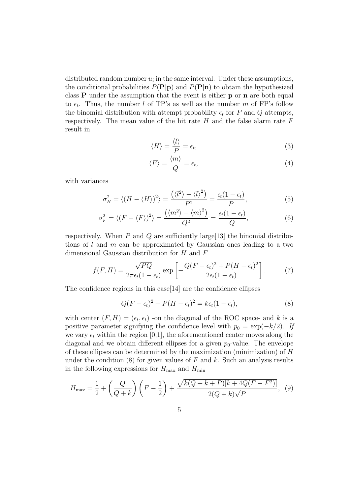distributed random number  $u_i$  in the same interval. Under these assumptions, the conditional probabilities  $P(\mathbf{P}|\mathbf{p})$  and  $P(\mathbf{P}|\mathbf{n})$  to obtain the hypothesized class **P** under the assumption that the event is either **p** or **n** are both equal to  $\epsilon_t$ . Thus, the number *l* of TP's as well as the number *m* of FP's follow the binomial distribution with attempt probability  $\epsilon_t$  for *P* and *Q* attempts, respectively. The mean value of the hit rate *H* and the false alarm rate *F* result in

$$
\langle H \rangle = \frac{\langle l \rangle}{P} = \epsilon_t,\tag{3}
$$

$$
\langle F \rangle = \frac{\langle m \rangle}{Q} = \epsilon_t,\tag{4}
$$

with variances

$$
\sigma_H^2 = \langle (H - \langle H \rangle)^2 \rangle = \frac{\left(\langle l^2 \rangle - \langle l \rangle^2\right)}{P^2} = \frac{\epsilon_t (1 - \epsilon_t)}{P},\tag{5}
$$

$$
\sigma_F^2 = \langle (F - \langle F \rangle)^2 \rangle = \frac{\left(\langle m^2 \rangle - \langle m \rangle^2\right)}{Q^2} = \frac{\epsilon_t (1 - \epsilon_t)}{Q},\tag{6}
$$

respectively. When *P* and *Q* are sufficiently large[13] the binomial distributions of *l* and *m* can be approximated by Gaussian ones leading to a two dimensional Gaussian distribution for *H* and *F*

$$
f(F,H) = \frac{\sqrt{PQ}}{2\pi\epsilon_t(1-\epsilon_t)} \exp\left[-\frac{Q(F-\epsilon_t)^2 + P(H-\epsilon_t)^2}{2\epsilon_t(1-\epsilon_t)}\right].
$$
 (7)

The confidence regions in this case[14] are the confidence ellipses

$$
Q(F - \epsilon_t)^2 + P(H - \epsilon_t)^2 = k\epsilon_t (1 - \epsilon_t),
$$
\n(8)

with center  $(F, H) = (\epsilon_t, \epsilon_t)$  -on the diagonal of the ROC space- and k is a positive parameter signifying the confidence level with  $p_0 = \exp(-k/2)$ . If we vary  $\epsilon_t$  within the region [0,1], the aforementioned center moves along the diagonal and we obtain different ellipses for a given  $p_0$ -value. The envelope of these ellipses can be determined by the maximization (minimization) of *H* under the condition (8) for given values of *F* and *k*. Such an analysis results in the following expressions for  $H_{\text{max}}$  and  $H_{\text{min}}$ 

$$
H_{\text{max}} = \frac{1}{2} + \left(\frac{Q}{Q+k}\right)\left(F - \frac{1}{2}\right) + \frac{\sqrt{k(Q+k+P)[k+4Q(F-F^2)]}}{2(Q+k)\sqrt{P}},\tag{9}
$$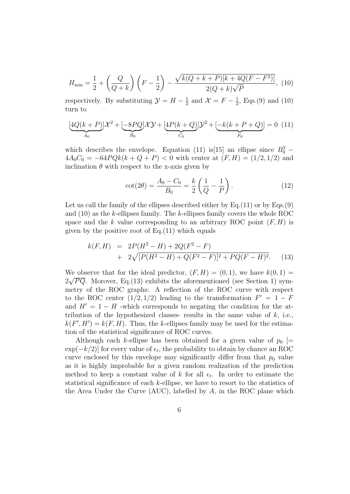$$
H_{\min} = \frac{1}{2} + \left(\frac{Q}{Q+k}\right)\left(F - \frac{1}{2}\right) - \frac{\sqrt{k(Q+k+P)[k+4Q(F-F^2)]}}{2(Q+k)\sqrt{P}},\ (10)
$$

respectively. By substituting  $\mathcal{Y} = H - \frac{1}{2}$  $\frac{1}{2}$  and  $\mathcal{X} = F - \frac{1}{2}$  $\frac{1}{2}$ , Eqs.(9) and (10) turn to

$$
\underbrace{[4Q(k+P)]\mathcal{X}^2 + [-8PQ]\mathcal{X}\mathcal{Y} + [4P(k+Q)]\mathcal{Y}^2 + [-k(k+P+Q)]}_{C_0} = 0 \tag{11}
$$

which describes the envelope. Equation (11) is[15] an ellipse since  $B_0^2$  –  $4A_0C_0 = -64PQk(k+Q+P) < 0$  with center at  $(F, H) = (1/2, 1/2)$  and inclination  $\theta$  with respect to the x-axis given by

$$
\cot(2\theta) = \frac{A_0 - C_0}{B_0} = \frac{k}{2} \left( \frac{1}{Q} - \frac{1}{P} \right). \tag{12}
$$

Let us call the family of the ellipses described either by Eq.(11) or by Eqs.(9) and (10) as the *k*-ellipses family. The *k*-ellipses family covers the whole ROC space and the *k* value corresponding to an arbitrary ROC point  $(F, H)$  is given by the positive root of  $Eq.(11)$  which equals

$$
k(F,H) = 2P(H^2 - H) + 2Q(F^2 - F)
$$
  
+ 
$$
2\sqrt{[P(H^2 - H) + Q(F^2 - F)]^2 + PQ(F - H)^2}.
$$
 (13)

We observe that for the ideal predictor,  $(F, H) = (0, 1)$ , we have  $k(0, 1) =$ <br> $\sqrt{EG} M$  $2\sqrt{PQ}$ . Morover, Eq.(13) exhibits the aforementioned (see Section 1) symmetry of the ROC graphs: A reflection of the ROC curve with respect to the ROC center  $(1/2, 1/2)$  leading to the transformation  $F' = 1 - F$ and  $H' = 1 - H$  -which corresponds to negating the condition for the attribution of the hypothesized classes- results in the same value of *k*, i.e.,  $k(F', H') = k(F, H)$ . Thus, the *k*-ellipses family may be used for the estimation of the statistical significance of ROC curves.

Although each *k*-ellipse has been obtained for a given value of  $p_0$  [= exp(*−k/*2)] for every value of *ϵ<sup>t</sup>* , the probability to obtain by chance an ROC curve enclosed by this envelope may significantly differ from that  $p_0$  value as it is highly improbable for a given random realization of the prediction method to keep a constant value of  $k$  for all  $\epsilon_t$ . In order to estimate the statistical significance of each *k*-ellipse, we have to resort to the statistics of the Area Under the Curve (AUC), labelled by *A*, in the ROC plane which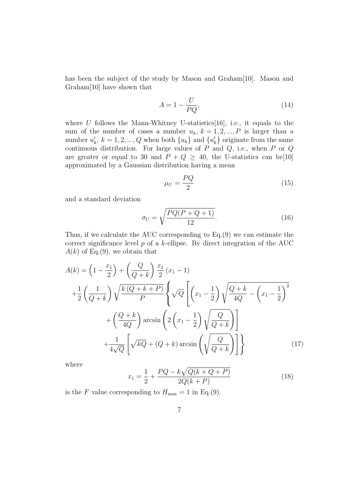has been the subject of the study by Mason and Graham<sup>[10]</sup>. Mason and Graham[10] have shown that

$$
A = 1 - \frac{U}{PQ},\tag{14}
$$

where  $U$  follows the Mann-Whitney U-statistics [16], i.e., it equals to the sum of the number of cases a number  $u_k$ ,  $k = 1, 2, ..., P$  is larger than a number  $u'_{k}$ ,  $k = 1, 2, ..., Q$  when both  $\{u_{k}\}\$  and  $\{u'_{k}\}\$  originate from the same continuous distribution. For large values of  $\overrightarrow{P}$  and  $\overrightarrow{Q}$ , i.e., when  $\overrightarrow{P}$  or  $\overrightarrow{Q}$ are greater or equal to 30 and  $P + Q \ge 40$ , the U-statistics can be[10] approximated by a Gaussian distribution having a mean

$$
\mu_U = \frac{PQ}{2} \tag{15}
$$

and a standard deviation

$$
\sigma_U = \sqrt{\frac{PQ(P+Q+1)}{12}}.\tag{16}
$$

Thus, if we calculate the AUC corresponding to Eq.(9) we can estimate the correct significance level *p* of a *k*-ellipse. By direct integration of the AUC  $A(k)$  of Eq.(9), we obtain that

$$
A(k) = \left(1 - \frac{x_1}{2}\right) + \left(\frac{Q}{Q+k}\right) \frac{x_1}{2} (x_1 - 1)
$$
  
+ 
$$
\frac{1}{2} \left(\frac{1}{Q+k}\right) \sqrt{\frac{k(Q+k+P)}{P}} \left\{\sqrt{Q} \left[\left(x_1 - \frac{1}{2}\right) \sqrt{\frac{Q+k}{4Q}} - \left(x_1 - \frac{1}{2}\right)^2 + \left(\frac{Q+k}{4Q}\right) \arcsin\left(2\left(x_1 - \frac{1}{2}\right) \sqrt{\frac{Q}{Q+k}}\right)\right] + \frac{1}{4\sqrt{Q}} \left[\sqrt{kQ} + (Q+k)\arcsin\left(\sqrt{\frac{Q}{Q+k}}\right)\right] \right\}
$$
(17)

where

$$
x_1 = \frac{1}{2} + \frac{PQ - k\sqrt{Q(k+Q+P)}}{2Q(k+P)}
$$
(18)

is the *F* value corresponding to  $H_{\text{max}} = 1$  in Eq.(9).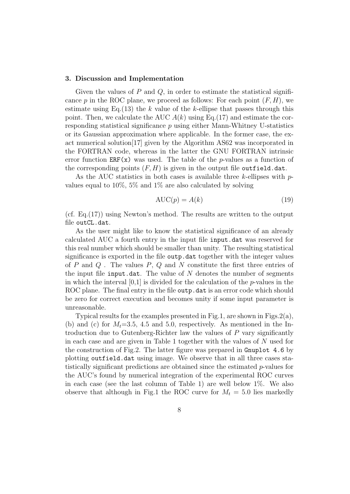#### **3. Discussion and Implementation**

Given the values of *P* and *Q*, in order to estimate the statistical significance  $p$  in the ROC plane, we proceed as follows: For each point  $(F, H)$ , we estimate using Eq.(13) the *k* value of the *k*-ellipse that passes through this point. Then, we calculate the AUC  $A(k)$  using Eq.(17) and estimate the corresponding statistical significance *p* using either Mann-Whitney U-statistics or its Gaussian approximation where applicable. In the former case, the exact numerical solution[17] given by the Algorithm AS62 was incorporated in the FORTRAN code, whereas in the latter the GNU FORTRAN intrinsic error function  $ERF(x)$  was used. The table of the *p*-values as a function of the corresponding points  $(F, H)$  is given in the output file outfield.dat.

As the AUC statistics in both cases is available three *k*-ellipses with *p*values equal to  $10\%$ ,  $5\%$  and  $1\%$  are also calculated by solving

$$
AUC(p) = A(k)
$$
 (19)

(cf. Eq.(17)) using Newton's method. The results are written to the output file outCL.dat.

As the user might like to know the statistical significance of an already calculated AUC a fourth entry in the input file input.dat was reserved for this real number which should be smaller than unity. The resulting statistical significance is exported in the file outp.dat together with the integer values of *P* and *Q* . The values *P*, *Q* and *N* constitute the first three entries of the input file input.dat. The value of  $N$  denotes the number of segments in which the interval [0,1] is divided for the calculation of the *p*-values in the ROC plane. The final entry in the file outp.dat is an error code which should be zero for correct execution and becomes unity if some input parameter is unreasonable.

Typical results for the examples presented in Fig.1, are shown in Figs.2(a), (b) and (c) for  $M_t=3.5$ , 4.5 and 5.0, respectively. As mentioned in the Introduction due to Gutenberg-Richter law the values of *P* vary significantly in each case and are given in Table 1 together with the values of *N* used for the construction of Fig.2. The latter figure was prepared in Gnuplot 4.6 by plotting outfield.dat using image. We observe that in all three cases statistically significant predictions are obtained since the estimated *p*-values for the AUC's found by numerical integration of the experimental ROC curves in each case (see the last column of Table 1) are well below 1%. We also observe that although in Fig.1 the ROC curve for  $M_t = 5.0$  lies markedly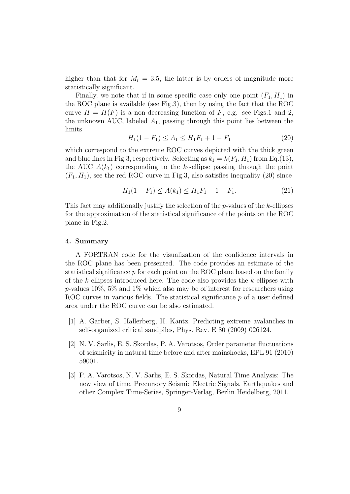higher than that for  $M_t = 3.5$ , the latter is by orders of magnitude more statistically significant.

Finally, we note that if in some specific case only one point  $(F_1, H_1)$  in the ROC plane is available (see Fig.3), then by using the fact that the ROC curve  $H = H(F)$  is a non-decreasing function of F, e.g. see Figs.1 and 2, the unknown AUC, labeled *A*1, passing through this point lies between the limits

$$
H_1(1 - F_1) \le A_1 \le H_1 F_1 + 1 - F_1 \tag{20}
$$

which correspond to the extreme ROC curves depicted with the thick green and blue lines in Fig.3, respectively. Selecting as  $k_1 = k(F_1, H_1)$  from Eq.(13), the AUC  $A(k_1)$  corresponding to the  $k_1$ -ellipse passing through the point  $(F_1, H_1)$ , see the red ROC curve in Fig.3, also satisfies inequality (20) since

$$
H_1(1 - F_1) \le A(k_1) \le H_1 F_1 + 1 - F_1. \tag{21}
$$

This fact may additionally justify the selection of the *p*-values of the *k*-ellipses for the approximation of the statistical significance of the points on the ROC plane in Fig.2.

#### **4. Summary**

A FORTRAN code for the visualization of the confidence intervals in the ROC plane has been presented. The code provides an estimate of the statistical significance *p* for each point on the ROC plane based on the family of the *k*-ellipses introduced here. The code also provides the *k*-ellipses with *p*-values 10%, 5% and 1% which also may be of interest for researchers using ROC curves in various fields. The statistical significance *p* of a user defined area under the ROC curve can be also estimated.

- [1] A. Garber, S. Hallerberg, H. Kantz, Predicting extreme avalanches in self-organized critical sandpiles, Phys. Rev. E 80 (2009) 026124.
- [2] N. V. Sarlis, E. S. Skordas, P. A. Varotsos, Order parameter fluctuations of seismicity in natural time before and after mainshocks, EPL 91 (2010) 59001.
- [3] P. A. Varotsos, N. V. Sarlis, E. S. Skordas, Natural Time Analysis: The new view of time. Precursory Seismic Electric Signals, Earthquakes and other Complex Time-Series, Springer-Verlag, Berlin Heidelberg, 2011.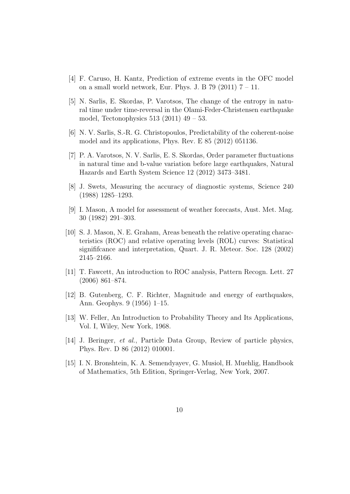- [4] F. Caruso, H. Kantz, Prediction of extreme events in the OFC model on a small world network, Eur. Phys. J. B  $79$  (2011)  $7 - 11$ .
- [5] N. Sarlis, E. Skordas, P. Varotsos, The change of the entropy in natural time under time-reversal in the Olami-Feder-Christensen earthquake model, Tectonophysics  $513$  (2011)  $49 - 53$ .
- [6] N. V. Sarlis, S.-R. G. Christopoulos, Predictability of the coherent-noise model and its applications, Phys. Rev. E 85 (2012) 051136.
- [7] P. A. Varotsos, N. V. Sarlis, E. S. Skordas, Order parameter fluctuations in natural time and b-value variation before large earthquakes, Natural Hazards and Earth System Science 12 (2012) 3473–3481.
- [8] J. Swets, Measuring the accuracy of diagnostic systems, Science 240 (1988) 1285–1293.
- [9] I. Mason, A model for assessment of weather forecasts, Aust. Met. Mag. 30 (1982) 291–303.
- [10] S. J. Mason, N. E. Graham, Areas beneath the relative operating characteristics (ROC) and relative operating levels (ROL) curves: Statistical signififcance and interpretation, Quart. J. R. Meteor. Soc. 128 (2002) 2145–2166.
- [11] T. Fawcett, An introduction to ROC analysis, Pattern Recogn. Lett. 27 (2006) 861–874.
- [12] B. Gutenberg, C. F. Richter, Magnitude and energy of earthquakes, Ann. Geophys. 9 (1956) 1–15.
- [13] W. Feller, An Introduction to Probability Theory and Its Applications, Vol. I, Wiley, New York, 1968.
- [14] J. Beringer, *et al.*, Particle Data Group, Review of particle physics, Phys. Rev. D 86 (2012) 010001.
- [15] I. N. Bronshtein, K. A. Semendyayev, G. Musiol, H. Muehlig, Handbook of Mathematics, 5th Edition, Springer-Verlag, New York, 2007.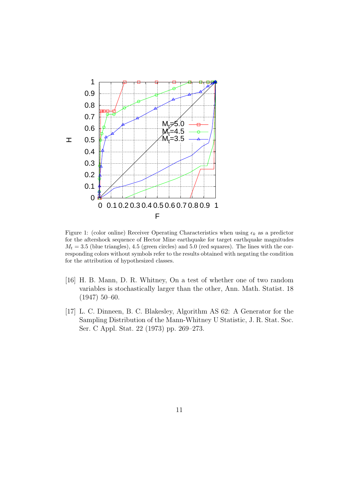

Figure 1: (color online) Receiver Operating Characteristics when using  $\epsilon_k$  as a predictor for the aftershock sequence of Hector Mine earthquake for target earthquake magnitudes  $M_t = 3.5$  (blue triangles), 4.5 (green circles) and 5.0 (red squares). The lines with the corresponding colors without symbols refer to the results obtained with negating the condition for the attribution of hypothesized classes.

- [16] H. B. Mann, D. R. Whitney, On a test of whether one of two random variables is stochastically larger than the other, Ann. Math. Statist. 18 (1947) 50–60.
- [17] L. C. Dinneen, B. C. Blakesley, Algorithm AS 62: A Generator for the Sampling Distribution of the Mann-Whitney U Statistic, J. R. Stat. Soc. Ser. C Appl. Stat. 22 (1973) pp. 269–273.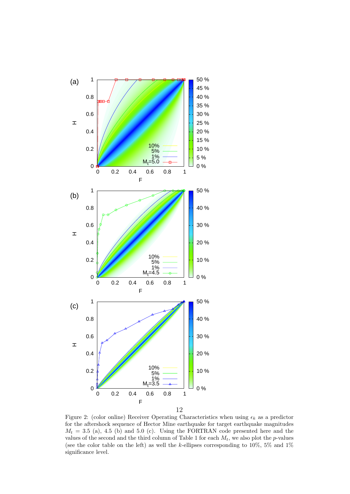

Figure 2: (color online) Receiver Operating Characteristics when using  $\epsilon_k$  as a predictor for the aftershock sequence of Hector Mine earthquake for target earthquake magnitudes  $M_t = 3.5$  (a), 4.5 (b) and 5.0 (c). Using the FORTRAN code presented here and the values of the second and the third column of Table 1 for each  $M_t$ , we also plot the *p*-values (see the color table on the left) as well the *k*-ellipses corresponding to 10%, 5% and 1% significance level.